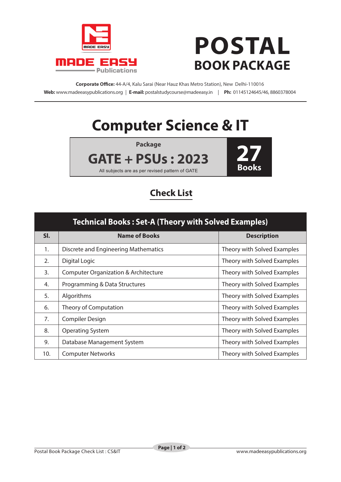

## **POSTAL BOOK PACKAGE**

**Corporate Office:** 44-A/4, Kalu Sarai (Near Hauz Khas Metro Station), New Delhi-110016 **Web:** www.madeeasypublications.org | **E-mail:** postalstudycourse@madeeasy.in | **Ph:** 01145124645/46, 8860378004

## **Computer Science & IT**



## **Check List**

| <b>Technical Books: Set-A (Theory with Solved Examples)</b> |                                                 |                             |  |
|-------------------------------------------------------------|-------------------------------------------------|-----------------------------|--|
| SI.                                                         | <b>Name of Books</b>                            | <b>Description</b>          |  |
| 1.                                                          | Discrete and Engineering Mathematics            | Theory with Solved Examples |  |
| 2.                                                          | Digital Logic                                   | Theory with Solved Examples |  |
| 3.                                                          | <b>Computer Organization &amp; Architecture</b> | Theory with Solved Examples |  |
| 4.                                                          | Programming & Data Structures                   | Theory with Solved Examples |  |
| 5.                                                          | Algorithms                                      | Theory with Solved Examples |  |
| 6.                                                          | Theory of Computation                           | Theory with Solved Examples |  |
| 7.                                                          | Compiler Design                                 | Theory with Solved Examples |  |
| 8.                                                          | <b>Operating System</b>                         | Theory with Solved Examples |  |
| 9.                                                          | Database Management System                      | Theory with Solved Examples |  |
| 10.                                                         | <b>Computer Networks</b>                        | Theory with Solved Examples |  |